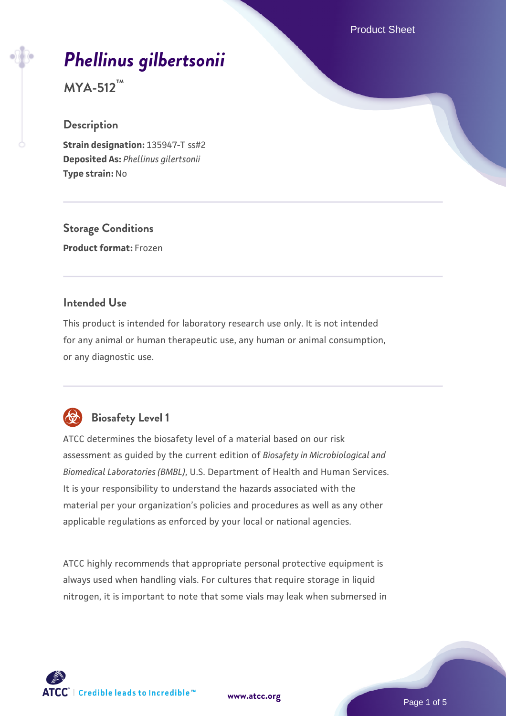Product Sheet

# *[Phellinus gilbertsonii](https://www.atcc.org/products/mya-512)*

**MYA-512™**

### **Description**

**Strain designation:** 135947-T ss#2 **Deposited As:** *Phellinus gilertsonii* **Type strain:** No

**Storage Conditions Product format:** Frozen

### **Intended Use**

This product is intended for laboratory research use only. It is not intended for any animal or human therapeutic use, any human or animal consumption, or any diagnostic use.



### **Biosafety Level 1**

ATCC determines the biosafety level of a material based on our risk assessment as guided by the current edition of *Biosafety in Microbiological and Biomedical Laboratories (BMBL)*, U.S. Department of Health and Human Services. It is your responsibility to understand the hazards associated with the material per your organization's policies and procedures as well as any other applicable regulations as enforced by your local or national agencies.

ATCC highly recommends that appropriate personal protective equipment is always used when handling vials. For cultures that require storage in liquid nitrogen, it is important to note that some vials may leak when submersed in

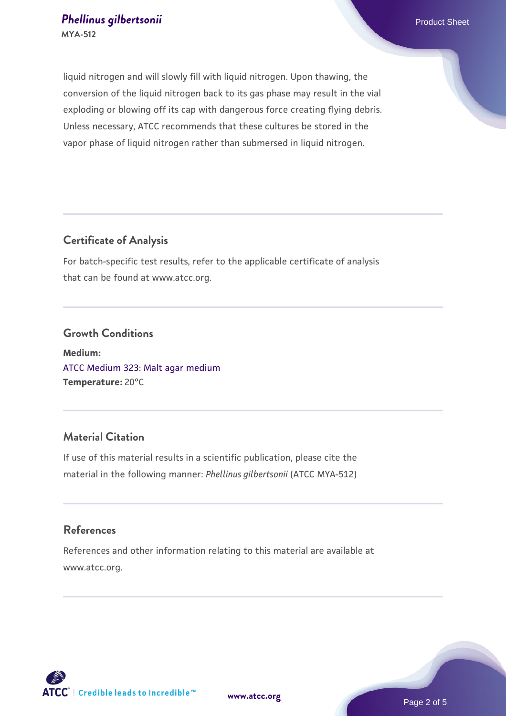liquid nitrogen and will slowly fill with liquid nitrogen. Upon thawing, the conversion of the liquid nitrogen back to its gas phase may result in the vial exploding or blowing off its cap with dangerous force creating flying debris. Unless necessary, ATCC recommends that these cultures be stored in the vapor phase of liquid nitrogen rather than submersed in liquid nitrogen.

### **Certificate of Analysis**

For batch-specific test results, refer to the applicable certificate of analysis that can be found at www.atcc.org.

### **Growth Conditions**

**Medium:**  [ATCC Medium 323: Malt agar medium](https://www.atcc.org/-/media/product-assets/documents/microbial-media-formulations/3/2/3/atcc-medium-323.pdf?rev=58d6457ee20149d7a1c844947569ef92) **Temperature:** 20°C

### **Material Citation**

If use of this material results in a scientific publication, please cite the material in the following manner: *Phellinus gilbertsonii* (ATCC MYA-512)

### **References**

References and other information relating to this material are available at www.atcc.org.

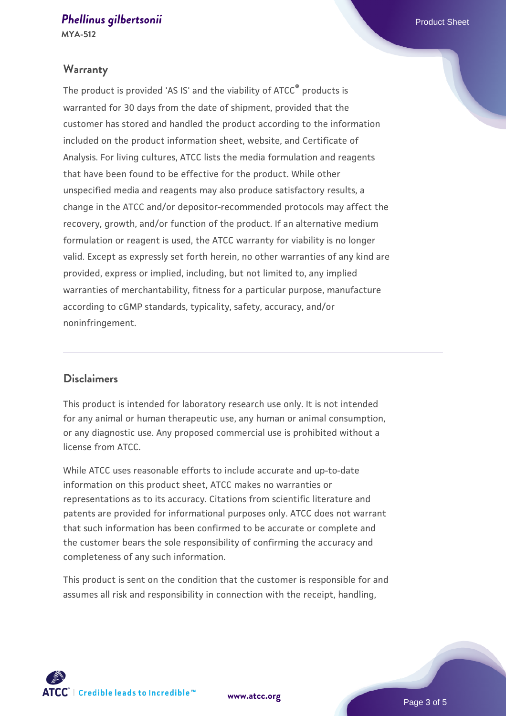## **[Phellinus gilbertsonii](https://www.atcc.org/products/mya-512)** Phellinus gilbertsonii eta alternativa eta alternativa eta alternativa eta eta alternativa eta alternativa eta alternativa eta alternativa eta alternativa eta alternativa eta alternativa eta altern

**MYA-512**

#### **Warranty**

The product is provided 'AS IS' and the viability of ATCC® products is warranted for 30 days from the date of shipment, provided that the customer has stored and handled the product according to the information included on the product information sheet, website, and Certificate of Analysis. For living cultures, ATCC lists the media formulation and reagents that have been found to be effective for the product. While other unspecified media and reagents may also produce satisfactory results, a change in the ATCC and/or depositor-recommended protocols may affect the recovery, growth, and/or function of the product. If an alternative medium formulation or reagent is used, the ATCC warranty for viability is no longer valid. Except as expressly set forth herein, no other warranties of any kind are provided, express or implied, including, but not limited to, any implied warranties of merchantability, fitness for a particular purpose, manufacture according to cGMP standards, typicality, safety, accuracy, and/or noninfringement.

### **Disclaimers**

This product is intended for laboratory research use only. It is not intended for any animal or human therapeutic use, any human or animal consumption, or any diagnostic use. Any proposed commercial use is prohibited without a license from ATCC.

While ATCC uses reasonable efforts to include accurate and up-to-date information on this product sheet, ATCC makes no warranties or representations as to its accuracy. Citations from scientific literature and patents are provided for informational purposes only. ATCC does not warrant that such information has been confirmed to be accurate or complete and the customer bears the sole responsibility of confirming the accuracy and completeness of any such information.

This product is sent on the condition that the customer is responsible for and assumes all risk and responsibility in connection with the receipt, handling,



**[www.atcc.org](http://www.atcc.org)**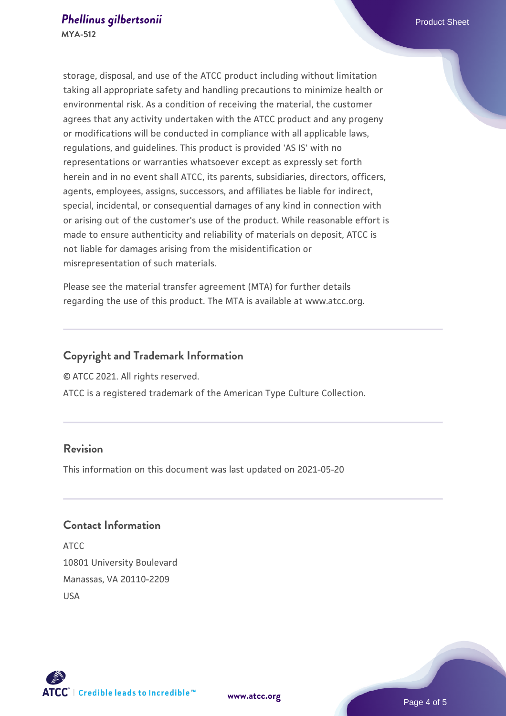storage, disposal, and use of the ATCC product including without limitation taking all appropriate safety and handling precautions to minimize health or environmental risk. As a condition of receiving the material, the customer agrees that any activity undertaken with the ATCC product and any progeny or modifications will be conducted in compliance with all applicable laws, regulations, and guidelines. This product is provided 'AS IS' with no representations or warranties whatsoever except as expressly set forth herein and in no event shall ATCC, its parents, subsidiaries, directors, officers, agents, employees, assigns, successors, and affiliates be liable for indirect, special, incidental, or consequential damages of any kind in connection with or arising out of the customer's use of the product. While reasonable effort is made to ensure authenticity and reliability of materials on deposit, ATCC is not liable for damages arising from the misidentification or misrepresentation of such materials.

Please see the material transfer agreement (MTA) for further details regarding the use of this product. The MTA is available at www.atcc.org.

### **Copyright and Trademark Information**

© ATCC 2021. All rights reserved.

ATCC is a registered trademark of the American Type Culture Collection.

### **Revision**

This information on this document was last updated on 2021-05-20

### **Contact Information**

ATCC 10801 University Boulevard Manassas, VA 20110-2209 USA





Page 4 of 5